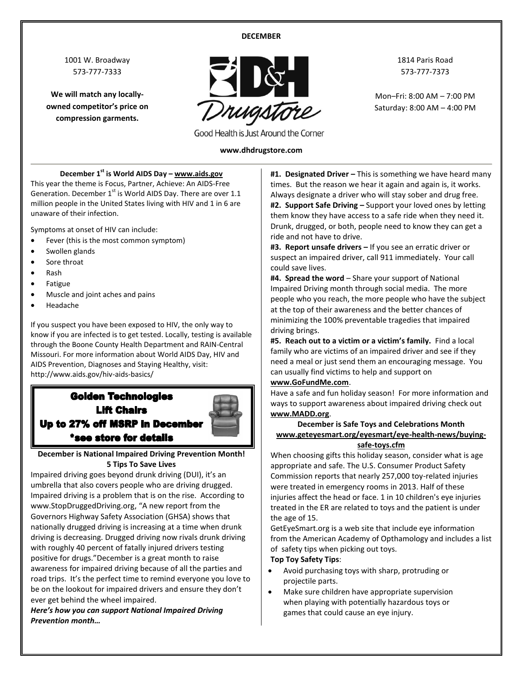#### **DECEMBER**

1001 W. Broadway 573-777-7333

**We will match any locallyowned competitor's price on compression garments.**



Good Health is Just Around the Corner

#### **www.dhdrugstore.com**

**December 1st is World AIDS Day – www.aids.gov**

This year the theme is Focus, Partner, Achieve: An AIDS-Free Generation. December  $1<sup>st</sup>$  is World AIDS Day. There are over 1.1 million people in the United States living with HIV and 1 in 6 are unaware of their infection.

Symptoms at onset of HIV can include:

- Fever (this is the most common symptom)
- Swollen glands
- Sore throat
- Rash
- Fatigue
- Muscle and joint aches and pains
- Headache

If you suspect you have been exposed to HIV, the only way to know if you are infected is to get tested. Locally, testing is available through the Boone County Health Department and RAIN-Central Missouri. For more information about World AIDS Day, HIV and AIDS Prevention, Diagnoses and Staying Healthy, visit: http://www.aids.gov/hiv-aids-basics/

# **Golden Technologies Lift Chairs** Up to 27% off MSRP in December \*see store for details



Impaired driving goes beyond drunk driving (DUI), it's an umbrella that also covers people who are driving drugged. Impaired driving is a problem that is on the rise. According to www.StopDruggedDriving.org, "A new [report](http://www.ghsa.org/html/publications/2015drugged.html) from the Governors Highway Safety Association (GHSA) shows that nationally drugged driving is increasing at a time when drunk driving is decreasing. Drugged driving now rivals drunk driving with roughly 40 percent of fatally injured drivers testing positive for drugs."December is a great month to raise awareness for impaired driving because of all the parties and road trips. It's the perfect time to remind everyone you love to be on the lookout for impaired drivers and ensure they don't ever get behind the wheel impaired.

*Here's how you can support National Impaired Driving Prevention month…*

**#1. Designated Driver –** This is something we have heard many times. But the reason we hear it again and again is, it works. Always designate a driver who will stay sober and drug free. **#2. Support Safe Driving –** Support your loved ones by letting them know they have access to a safe ride when they need it. Drunk, drugged, or both, people need to know they can get a ride and not have to drive.

**#3. Report unsafe drivers –** If you see an erratic driver or suspect an impaired driver, call 911 immediately. Your call could save lives.

**#4. Spread the word** – Share your support of National Impaired Driving month through social media. The more people who you reach, the more people who have the subject at the top of their awareness and the better chances of minimizing the 100% preventable tragedies that impaired driving brings.

**#5. Reach out to a victim or a victim's family.** Find a local family who are victims of an impaired driver and see if they need a meal or just send them an encouraging message. You can usually find victims to help and support on

#### **[www.GoFundMe.com](http://www.gofundme.com/)**.

Have a safe and fun holiday season! For more information and ways to support awareness about impaired driving check out **[www.MADD.org](http://www.madd.org/)**.

#### **December is Safe Toys and Celebrations Month www.geteyesmart.org/eyesmart/eye-health-news/buyingsafe-toys.cfm**

When choosing gifts this holiday season, consider what is age appropriate and safe. The U.S. Consumer Product Safety Commission reports that nearly 257,000 toy-related injuries were treated in emergency rooms in 2013. Half of these injuries affect the head or face. 1 in 10 children's eye injuries treated in the ER are related to toys and the patient is under the age of 15.

GetEyeSmart.org is a web site that include eye information from the American Academy of Opthamology and includes a list of safety tips when picking out toys.

#### **Top Toy Safety Tips**:

- Avoid purchasing toys with sharp, protruding or projectile parts.
- Make sure children have appropriate supervision when playing with potentially hazardous toys or games that could cause an eye injury.

1814 Paris Road 573-777-7373

Mon–Fri: 8:00 AM – 7:00 PM Saturday: 8:00 AM – 4:00 PM